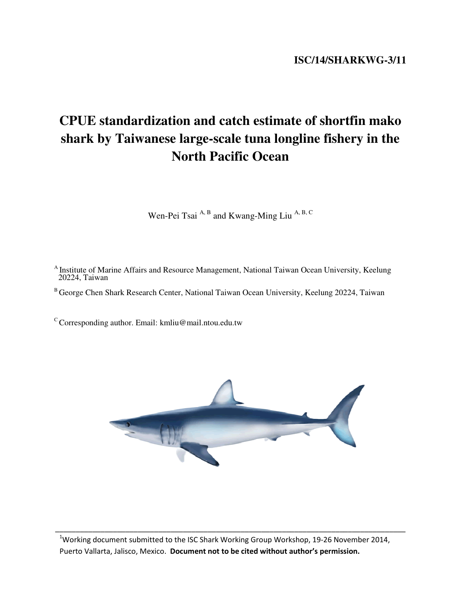# **CPUE standardization and catch estimate of shortfin mako shark by Taiwanese large-scale tuna longline fishery in the North Pacific Ocean**

Wen-Pei Tsai $A$ , B and Kwang-Ming Liu $A$ , B, C

<sup>A</sup> Institute of Marine Affairs and Resource Management, National Taiwan Ocean University, Keelung 20224, Taiwan

B George Chen Shark Research Center, National Taiwan Ocean University, Keelung 20224, Taiwan

 $\rm ^c$  Corresponding author. Email: kmliu@mail.ntou.edu.tw



<sup>1</sup>Working document submitted to the ISC Shark Working Group Workshop, 19-26 November 2014, Puerto Vallarta, Jalisco, Mexico. Document not to be cited without author's permission.

\_\_\_\_\_\_\_\_\_\_\_\_\_\_\_\_\_\_\_\_\_\_\_\_\_\_\_\_\_\_\_\_\_\_\_\_\_\_\_\_\_\_\_\_\_\_\_\_\_\_\_\_\_\_\_\_\_\_\_\_\_\_\_\_\_\_\_\_\_\_\_\_\_\_\_\_\_\_\_\_\_\_\_\_\_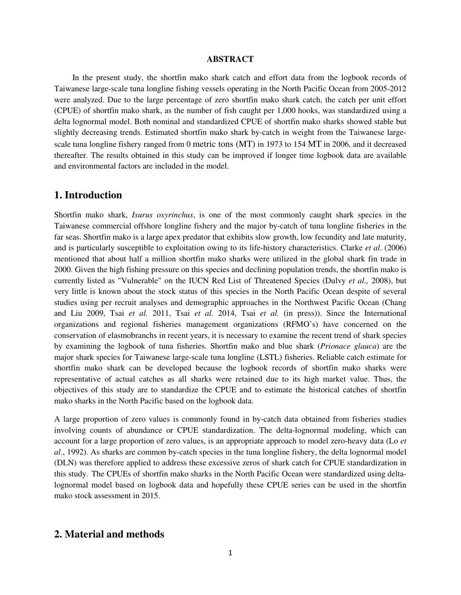#### **ABSTRACT**

 In the present study, the shortfin mako shark catch and effort data from the logbook records of Taiwanese large-scale tuna longline fishing vessels operating in the North Pacific Ocean from 2005-2012 were analyzed. Due to the large percentage of zero shortfin mako shark catch, the catch per unit effort (CPUE) of shortfin mako shark, as the number of fish caught per 1,000 hooks, was standardized using a delta lognormal model. Both nominal and standardized CPUE of shortfin mako sharks showed stable but slightly decreasing trends. Estimated shortfin mako shark by-catch in weight from the Taiwanese largescale tuna longline fishery ranged from 0 metric tons (MT) in 1973 to 154 MT in 2006, and it decreased thereafter. The results obtained in this study can be improved if longer time logbook data are available and environmental factors are included in the model.

#### **1. Introduction**

Shortfin mako shark, *Isurus oxyrinchus*, is one of the most commonly caught shark species in the Taiwanese commercial offshore longline fishery and the major by-catch of tuna longline fisheries in the far seas. Shortfin mako is a large apex predator that exhibits slow growth, low fecundity and late maturity, and is particularly susceptible to exploitation owing to its life-history characteristics. Clarke *et al*. (2006) mentioned that about half a million shortfin mako sharks were utilized in the global shark fin trade in 2000. Given the high fishing pressure on this species and declining population trends, the shortfin mako is currently listed as "Vulnerable" on the IUCN Red List of Threatened Species (Dulvy *et al*.*,* 2008), but very little is known about the stock status of this species in the North Pacific Ocean despite of several studies using per recruit analyses and demographic approaches in the Northwest Pacific Ocean (Chang and Liu 2009, Tsai *et al.* 2011, Tsai *et al.* 2014, Tsai *et al.* (in press)). Since the International organizations and regional fisheries management organizations (RFMO's) have concerned on the conservation of elasmobranchs in recent years, it is necessary to examine the recent trend of shark species by examining the logbook of tuna fisheries. Shortfin mako and blue shark (*Prionace glauca*) are the major shark species for Taiwanese large-scale tuna longline (LSTL) fisheries. Reliable catch estimate for shortfin mako shark can be developed because the logbook records of shortfin mako sharks were representative of actual catches as all sharks were retained due to its high market value. Thus, the objectives of this study are to standardize the CPUE and to estimate the historical catches of shortfin mako sharks in the North Pacific based on the logbook data.

A large proportion of zero values is commonly found in by-catch data obtained from fisheries studies involving counts of abundance or CPUE standardization. The delta-lognormal modeling, which can account for a large proportion of zero values, is an appropriate approach to model zero-heavy data (Lo *et al*., 1992). As sharks are common by-catch species in the tuna longline fishery, the delta lognormal model (DLN) was therefore applied to address these excessive zeros of shark catch for CPUE standardization in this study. The CPUEs of shortfin mako sharks in the North Pacific Ocean were standardized using deltalognormal model based on logbook data and hopefully these CPUE series can be used in the shortfin mako stock assessment in 2015.

### **2. Material and methods**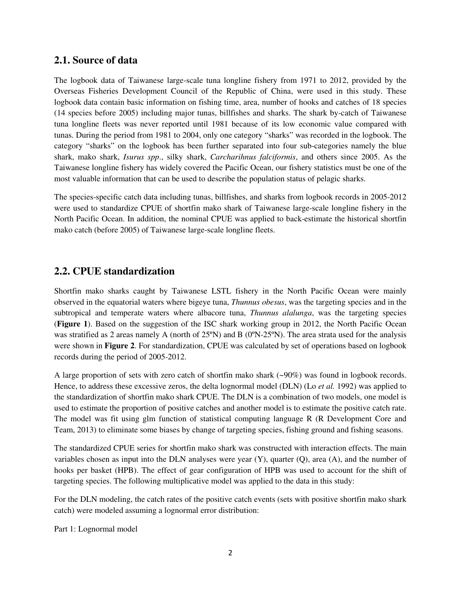#### **2.1. Source of data**

The logbook data of Taiwanese large-scale tuna longline fishery from 1971 to 2012, provided by the Overseas Fisheries Development Council of the Republic of China, were used in this study. These logbook data contain basic information on fishing time, area, number of hooks and catches of 18 species (14 species before 2005) including major tunas, billfishes and sharks. The shark by-catch of Taiwanese tuna longline fleets was never reported until 1981 because of its low economic value compared with tunas. During the period from 1981 to 2004, only one category "sharks" was recorded in the logbook. The category "sharks" on the logbook has been further separated into four sub-categories namely the blue shark, mako shark, *Isurus spp*., silky shark, *Carcharihnus falciformis*, and others since 2005. As the Taiwanese longline fishery has widely covered the Pacific Ocean, our fishery statistics must be one of the most valuable information that can be used to describe the population status of pelagic sharks.

The species-specific catch data including tunas, billfishes, and sharks from logbook records in 2005-2012 were used to standardize CPUE of shortfin mako shark of Taiwanese large-scale longline fishery in the North Pacific Ocean. In addition, the nominal CPUE was applied to back-estimate the historical shortfin mako catch (before 2005) of Taiwanese large-scale longline fleets.

## **2.2. CPUE standardization**

Shortfin mako sharks caught by Taiwanese LSTL fishery in the North Pacific Ocean were mainly observed in the equatorial waters where bigeye tuna, *Thunnus obesus*, was the targeting species and in the subtropical and temperate waters where albacore tuna, *Thunnus alalunga*, was the targeting species (**Figure 1**). Based on the suggestion of the ISC shark working group in 2012, the North Pacific Ocean was stratified as 2 areas namely A (north of 25ºN) and B (0ºN-25ºN). The area strata used for the analysis were shown in **Figure 2**. For standardization, CPUE was calculated by set of operations based on logbook records during the period of 2005-2012.

A large proportion of sets with zero catch of shortfin mako shark (~90%) was found in logbook records. Hence, to address these excessive zeros, the delta lognormal model (DLN) (Lo *et al.* 1992) was applied to the standardization of shortfin mako shark CPUE. The DLN is a combination of two models, one model is used to estimate the proportion of positive catches and another model is to estimate the positive catch rate. The model was fit using glm function of statistical computing language R (R Development Core and Team, 2013) to eliminate some biases by change of targeting species, fishing ground and fishing seasons.

The standardized CPUE series for shortfin mako shark was constructed with interaction effects. The main variables chosen as input into the DLN analyses were year  $(Y)$ , quarter  $(Q)$ , area  $(A)$ , and the number of hooks per basket (HPB). The effect of gear configuration of HPB was used to account for the shift of targeting species. The following multiplicative model was applied to the data in this study:

For the DLN modeling, the catch rates of the positive catch events (sets with positive shortfin mako shark catch) were modeled assuming a lognormal error distribution:

Part 1: Lognormal model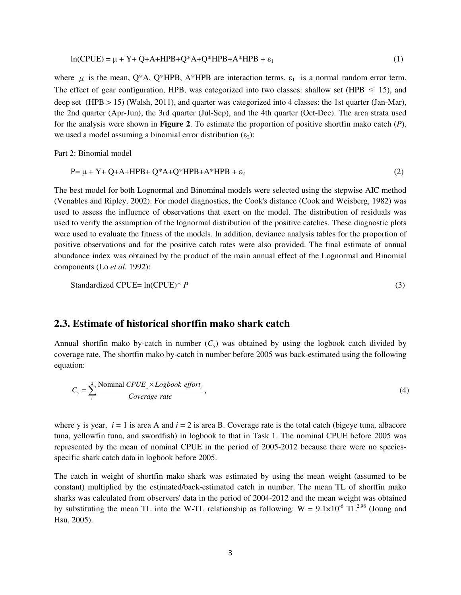$$
ln(CPUE) = \mu + Y + Q + A + HPB + Q^*A + Q^*HPB + A^*HPB + \varepsilon_1
$$
\n(1)

where  $\mu$  is the mean, Q\*A, Q\*HPB, A\*HPB are interaction terms,  $\varepsilon_1$  is a normal random error term. The effect of gear configuration, HPB, was categorized into two classes: shallow set (HPB  $\leq$  15), and deep set (HPB > 15) (Walsh, 2011), and quarter was categorized into 4 classes: the 1st quarter (Jan-Mar), the 2nd quarter (Apr-Jun), the 3rd quarter (Jul-Sep), and the 4th quarter (Oct-Dec). The area strata used for the analysis were shown in **Figure 2**. To estimate the proportion of positive shortfin mako catch (*P*), we used a model assuming a binomial error distribution  $(\epsilon_2)$ :

Part 2: Binomial model

$$
P = \mu + Y + Q + A + HPB + Q^*A + Q^*HPB + A^*HPB + \varepsilon_2
$$
\n<sup>(2)</sup>

The best model for both Lognormal and Binominal models were selected using the stepwise AIC method (Venables and Ripley, 2002). For model diagnostics, the Cook's distance (Cook and Weisberg, 1982) was used to assess the influence of observations that exert on the model. The distribution of residuals was used to verify the assumption of the lognormal distribution of the positive catches. These diagnostic plots were used to evaluate the fitness of the models. In addition, deviance analysis tables for the proportion of positive observations and for the positive catch rates were also provided. The final estimate of annual abundance index was obtained by the product of the main annual effect of the Lognormal and Binomial components (Lo *et al.* 1992):

Standardized CPUE = 
$$
\ln(\text{CPUE})^* P
$$
 (3)

#### **2.3. Estimate of historical shortfin mako shark catch**

Annual shortfin mako by-catch in number  $(C_v)$  was obtained by using the logbook catch divided by coverage rate. The shortfin mako by-catch in number before 2005 was back-estimated using the following equation:

$$
C_{y} = \sum_{i}^{2} \frac{\text{Nominal } CPUE_{i} \times Logbook~effort_{i}}{Coverage~rate},
$$
\n
$$
(4)
$$

where y is year, *i* = 1 is area A and *i* = 2 is area B. Coverage rate is the total catch (bigeye tuna, albacore tuna, yellowfin tuna, and swordfish) in logbook to that in Task 1. The nominal CPUE before 2005 was represented by the mean of nominal CPUE in the period of 2005-2012 because there were no speciesspecific shark catch data in logbook before 2005.

The catch in weight of shortfin mako shark was estimated by using the mean weight (assumed to be constant) multiplied by the estimated/back-estimated catch in number. The mean TL of shortfin mako sharks was calculated from observers' data in the period of 2004-2012 and the mean weight was obtained by substituting the mean TL into the W-TL relationship as following:  $W = 9.1 \times 10^{-6}$  TL<sup>2.98</sup> (Joung and Hsu, 2005).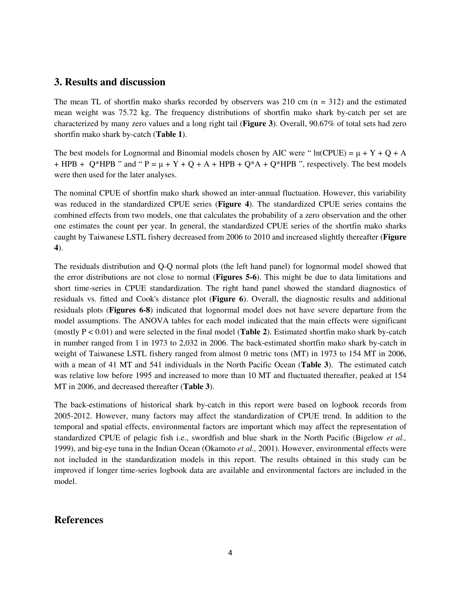#### **3. Results and discussion**

The mean TL of shortfin mako sharks recorded by observers was 210 cm  $(n = 312)$  and the estimated mean weight was 75.72 kg. The frequency distributions of shortfin mako shark by-catch per set are characterized by many zero values and a long right tail (**Figure 3**). Overall, 90.67% of total sets had zero shortfin mako shark by-catch (**Table 1**).

The best models for Lognormal and Binomial models chosen by AIC were " $ln(CPUE) = \mu + Y + Q + A$ + HPB + Q\*HPB " and " P =  $\mu$  + Y + Q + A + HPB + Q\*A + Q\*HPB ", respectively. The best models were then used for the later analyses.

The nominal CPUE of shortfin mako shark showed an inter-annual fluctuation. However, this variability was reduced in the standardized CPUE series (**Figure 4**). The standardized CPUE series contains the combined effects from two models, one that calculates the probability of a zero observation and the other one estimates the count per year. In general, the standardized CPUE series of the shortfin mako sharks caught by Taiwanese LSTL fishery decreased from 2006 to 2010 and increased slightly thereafter (**Figure 4**).

The residuals distribution and Q-Q normal plots (the left hand panel) for lognormal model showed that the error distributions are not close to normal (**Figures 5-6**). This might be due to data limitations and short time-series in CPUE standardization. The right hand panel showed the standard diagnostics of residuals vs. fitted and Cook's distance plot (**Figure 6**). Overall, the diagnostic results and additional residuals plots (**Figures 6-8**) indicated that lognormal model does not have severe departure from the model assumptions. The ANOVA tables for each model indicated that the main effects were significant (mostly P < 0.01) and were selected in the final model (**Table 2**). Estimated shortfin mako shark by-catch in number ranged from 1 in 1973 to 2,032 in 2006. The back-estimated shortfin mako shark by-catch in weight of Taiwanese LSTL fishery ranged from almost 0 metric tons (MT) in 1973 to 154 MT in 2006, with a mean of 41 MT and 541 individuals in the North Pacific Ocean (**Table 3**). The estimated catch was relative low before 1995 and increased to more than 10 MT and fluctuated thereafter, peaked at 154 MT in 2006, and decreased thereafter (**Table 3**).

The back-estimations of historical shark by-catch in this report were based on logbook records from 2005-2012. However, many factors may affect the standardization of CPUE trend. In addition to the temporal and spatial effects, environmental factors are important which may affect the representation of standardized CPUE of pelagic fish i.e., swordfish and blue shark in the North Pacific (Bigelow *et al.,*  1999), and big-eye tuna in the Indian Ocean (Okamoto *et al.,* 2001). However, environmental effects were not included in the standardization models in this report. The results obtained in this study can be improved if longer time-series logbook data are available and environmental factors are included in the model.

### **References**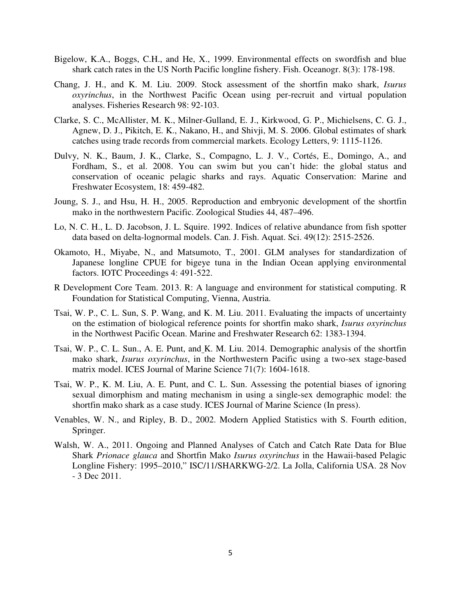- Bigelow, K.A., Boggs, C.H., and He, X., 1999. Environmental effects on swordfish and blue shark catch rates in the US North Pacific longline fishery. Fish. Oceanogr. 8(3): 178-198.
- Chang, J. H., and K. M. Liu. 2009. Stock assessment of the shortfin mako shark, *Isurus oxyrinchus*, in the Northwest Pacific Ocean using per-recruit and virtual population analyses. Fisheries Research 98: 92-103.
- Clarke, S. C., McAllister, M. K., Milner-Gulland, E. J., Kirkwood, G. P., Michielsens, C. G. J., Agnew, D. J., Pikitch, E. K., Nakano, H., and Shivji, M. S. 2006. Global estimates of shark catches using trade records from commercial markets. Ecology Letters, 9: 1115-1126.
- Dulvy, N. K., Baum, J. K., Clarke, S., Compagno, L. J. V., Cortés, E., Domingo, A., and Fordham, S., et al. 2008. You can swim but you can't hide: the global status and conservation of oceanic pelagic sharks and rays. Aquatic Conservation: Marine and Freshwater Ecosystem, 18: 459-482.
- Joung, S. J., and Hsu, H. H., 2005. Reproduction and embryonic development of the shortfin mako in the northwestern Pacific. Zoological Studies 44, 487–496.
- Lo, N. C. H., L. D. Jacobson, J. L. Squire. 1992. Indices of relative abundance from fish spotter data based on delta-lognormal models. Can. J. Fish. Aquat. Sci. 49(12): 2515-2526.
- Okamoto, H., Miyabe, N., and Matsumoto, T., 2001. GLM analyses for standardization of Japanese longline CPUE for bigeye tuna in the Indian Ocean applying environmental factors. IOTC Proceedings 4: 491-522.
- R Development Core Team. 2013. R: A language and environment for statistical computing. R Foundation for Statistical Computing, Vienna, Austria.
- Tsai, W. P., C. L. Sun, S. P. Wang, and K. M. Liu. 2011. Evaluating the impacts of uncertainty on the estimation of biological reference points for shortfin mako shark, *Isurus oxyrinchus* in the Northwest Pacific Ocean. Marine and Freshwater Research 62: 1383-1394.
- Tsai, W. P., C. L. Sun., A. E. Punt, and K. M. Liu. 2014. Demographic analysis of the shortfin mako shark, *Isurus oxyrinchus*, in the Northwestern Pacific using a two-sex stage-based matrix model. ICES Journal of Marine Science 71(7): 1604-1618.
- Tsai, W. P., K. M. Liu, A. E. Punt, and C. L. Sun. Assessing the potential biases of ignoring sexual dimorphism and mating mechanism in using a single-sex demographic model: the shortfin mako shark as a case study. ICES Journal of Marine Science (In press).
- Venables, W. N., and Ripley, B. D., 2002. Modern Applied Statistics with S. Fourth edition, Springer.
- Walsh, W. A., 2011. Ongoing and Planned Analyses of Catch and Catch Rate Data for Blue Shark *Prionace glauca* and Shortfin Mako *Isurus oxyrinchus* in the Hawaii-based Pelagic Longline Fishery: 1995–2010," ISC/11/SHARKWG-2/2. La Jolla, California USA. 28 Nov - 3 Dec 2011.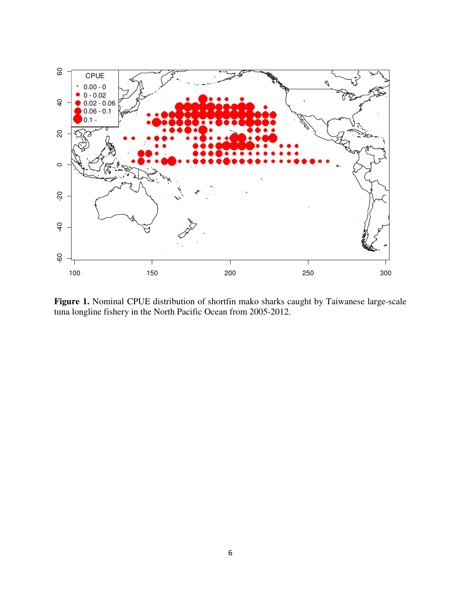

Figure 1. Nominal CPUE distribution of shortfin mako sharks caught by Taiwanese large-scale tuna longline fishery in the North Pacific Ocean from 2005-2012.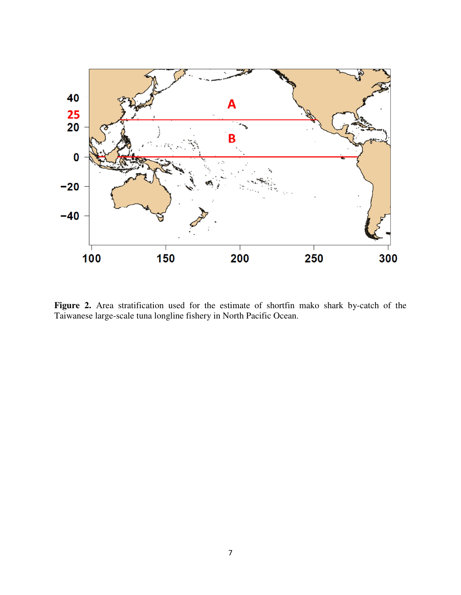

Figure 2. Area stratification used for the estimate of shortfin mako shark by-catch of the Taiwanese large-scale tuna longline fishery in North Pacific Ocean.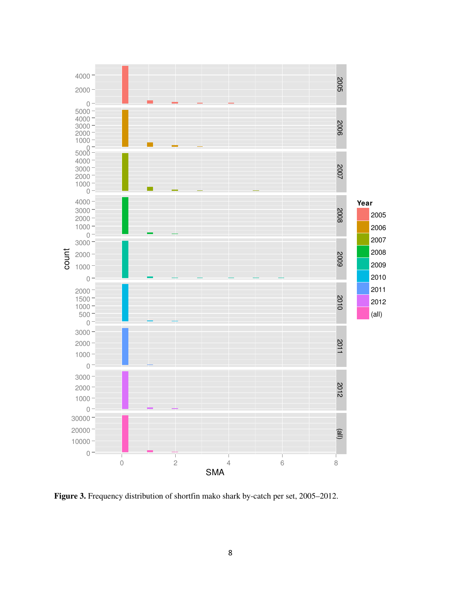

**Figure 3.** Frequency distribution of shortfin mako shark by-catch per set, 2005–2012.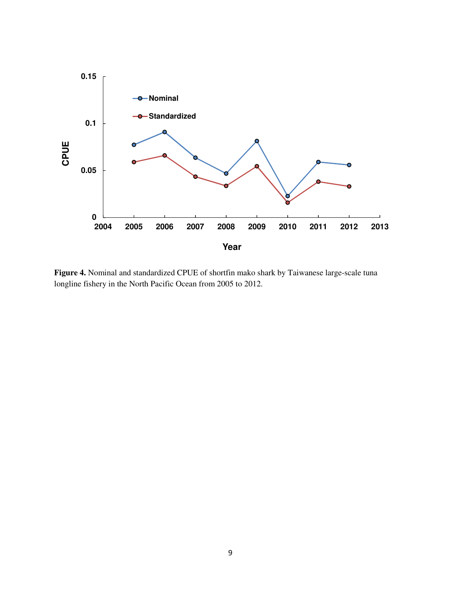

**Figure 4.** Nominal and standardized CPUE of shortfin mako shark by Taiwanese large-scale tuna longline fishery in the North Pacific Ocean from 2005 to 2012.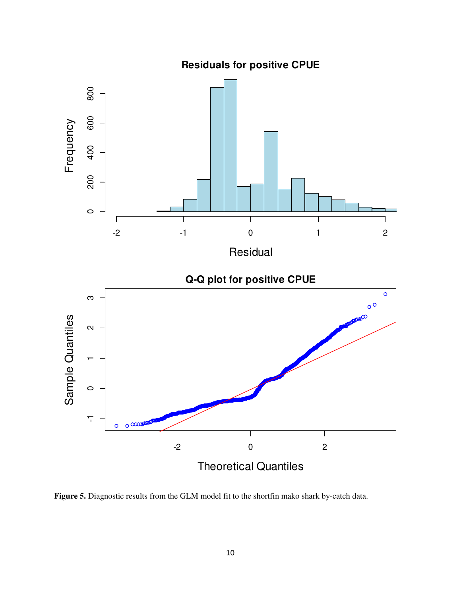800 0 200 400 600 800 600 Frequency 400 200  $\circ$  $\sqrt{2}$  $\top$ Τ Τ 1 -2 -1 0 1 2 Residual **Q-Q plot for positive CPUE**  $\circ$  $\infty$ -1 0 1 2 3  $\circ$ <sup>O</sup> Sample Quantiles Sample Quantiles $\boldsymbol{\sim}$  $\circ$  $\overline{\mathcal{L}}$  $\circ$   $\infty$  $\circ$ -2 0 2 Theoretical Quantiles

**Residuals for positive CPUE**

**Figure 5.** Diagnostic results from the GLM model fit to the shortfin mako shark by-catch data.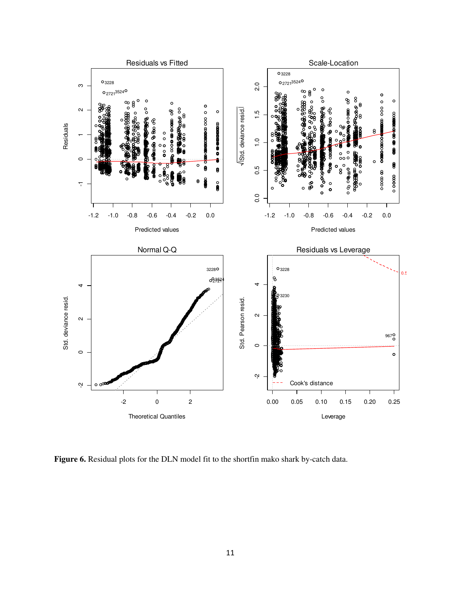

**Figure 6.** Residual plots for the DLN model fit to the shortfin mako shark by-catch data.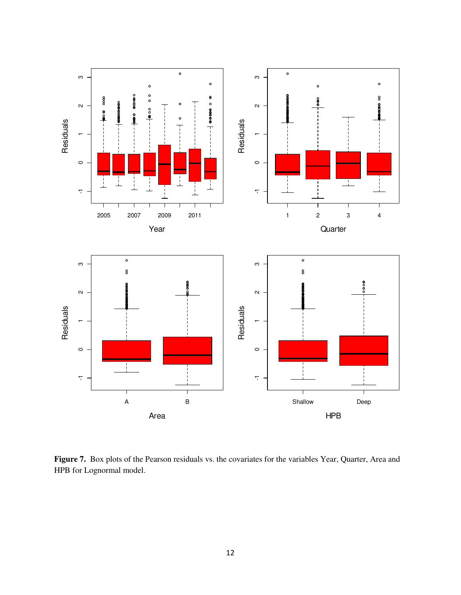

Figure 7. Box plots of the Pearson residuals vs. the covariates for the variables Year, Quarter, Area and HPB for Lognormal model.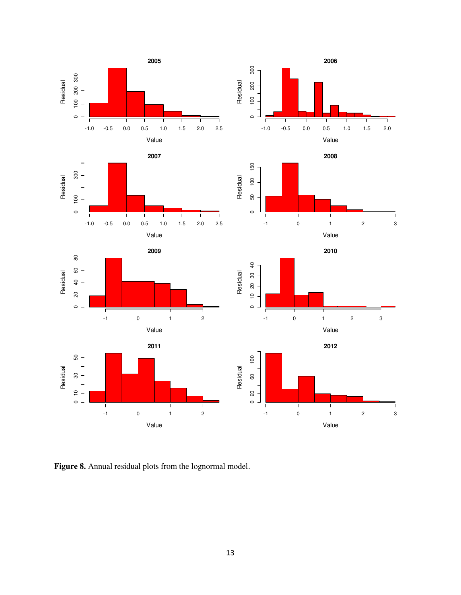

**Figure 8.** Annual residual plots from the lognormal model.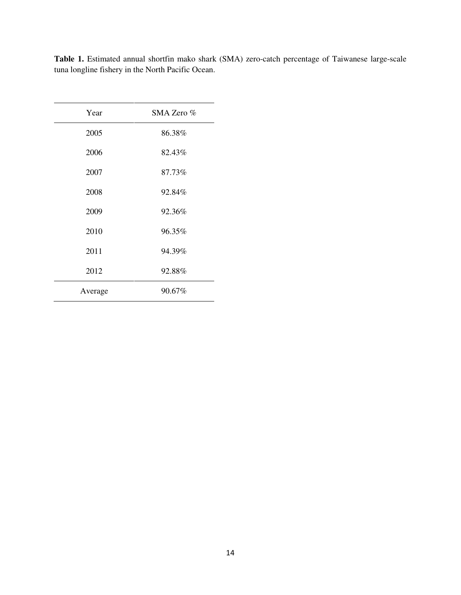| Year    | SMA Zero % |
|---------|------------|
| 2005    | 86.38%     |
| 2006    | 82.43%     |
| 2007    | 87.73%     |
| 2008    | 92.84%     |
| 2009    | 92.36%     |
| 2010    | 96.35%     |
| 2011    | 94.39%     |
| 2012    | 92.88%     |
| Average | 90.67%     |

**Table 1.** Estimated annual shortfin mako shark (SMA) zero-catch percentage of Taiwanese large-scale tuna longline fishery in the North Pacific Ocean.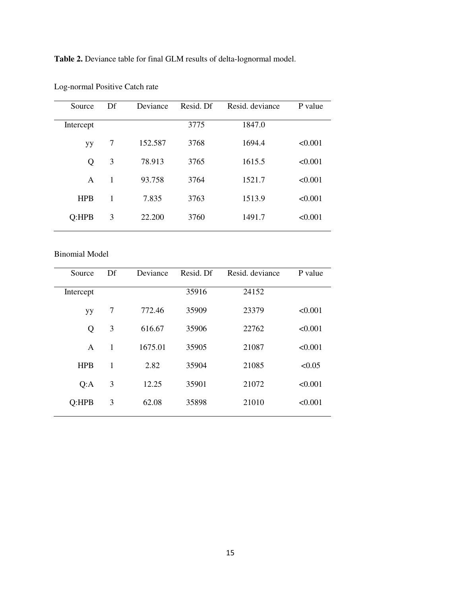Table 2. Deviance table for final GLM results of delta-lognormal model.

| Source     | Df | Deviance | Resid. Df | Resid. deviance | P value |
|------------|----|----------|-----------|-----------------|---------|
| Intercept  |    |          | 3775      | 1847.0          |         |
| yу         | 7  | 152.587  | 3768      | 1694.4          | < 0.001 |
| Q          | 3  | 78.913   | 3765      | 1615.5          | < 0.001 |
| A          | 1  | 93.758   | 3764      | 1521.7          | < 0.001 |
| <b>HPB</b> | 1  | 7.835    | 3763      | 1513.9          | < 0.001 |
| Q:HPB      | 3  | 22.200   | 3760      | 1491.7          | < 0.001 |
|            |    |          |           |                 |         |

Log-normal Positive Catch rate

Binomial Model

| Source     | Df           | Deviance | Resid. Df | Resid. deviance | P value |
|------------|--------------|----------|-----------|-----------------|---------|
| Intercept  |              |          | 35916     | 24152           |         |
| yу         | 7            | 772.46   | 35909     | 23379           | < 0.001 |
| Q          | 3            | 616.67   | 35906     | 22762           | < 0.001 |
| A          | $\mathbf{1}$ | 1675.01  | 35905     | 21087           | < 0.001 |
| <b>HPB</b> | 1            | 2.82     | 35904     | 21085           | < 0.05  |
| Q:A        | 3            | 12.25    | 35901     | 21072           | < 0.001 |
| Q:HPB      | 3            | 62.08    | 35898     | 21010           | < 0.001 |
|            |              |          |           |                 |         |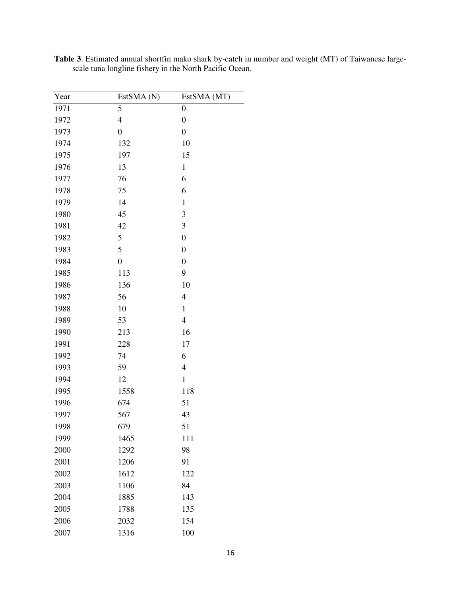| Year | EstSMA (N)       | EstSMA (MT)      |
|------|------------------|------------------|
| 1971 | 5                | $\boldsymbol{0}$ |
| 1972 | $\overline{4}$   | $\boldsymbol{0}$ |
| 1973 | $\boldsymbol{0}$ | $\boldsymbol{0}$ |
| 1974 | 132              | 10               |
| 1975 | 197              | 15               |
| 1976 | 13               | $\mathbf{1}$     |
| 1977 | 76               | 6                |
| 1978 | 75               | 6                |
| 1979 | 14               | $\mathbf{1}$     |
| 1980 | 45               | 3                |
| 1981 | 42               | 3                |
| 1982 | 5                | $\boldsymbol{0}$ |
| 1983 | 5                | $\mathbf{0}$     |
| 1984 | $\boldsymbol{0}$ | $\boldsymbol{0}$ |
| 1985 | 113              | 9                |
| 1986 | 136              | 10               |
| 1987 | 56               | $\overline{4}$   |
| 1988 | 10               | $\mathbf{1}$     |
| 1989 | 53               | $\overline{4}$   |
| 1990 | 213              | 16               |
| 1991 | 228              | 17               |
| 1992 | 74               | 6                |
| 1993 | 59               | $\overline{4}$   |
| 1994 | 12               | $\mathbf{1}$     |
| 1995 | 1558             | 118              |
| 1996 | 674              | 51               |
| 1997 | 567              | 43               |
| 1998 | 679              | 51               |
| 1999 | 1465             | 111              |
| 2000 | 1292             | 98               |
| 2001 | 1206             | 91               |
| 2002 | 1612             | 122              |
| 2003 | 1106             | 84               |
| 2004 | 1885             | 143              |
| 2005 | 1788             | 135              |
| 2006 | 2032             | 154              |
| 2007 | 1316             | 100              |

**Table 3**. Estimated annual shortfin mako shark by-catch in number and weight (MT) of Taiwanese largescale tuna longline fishery in the North Pacific Ocean.